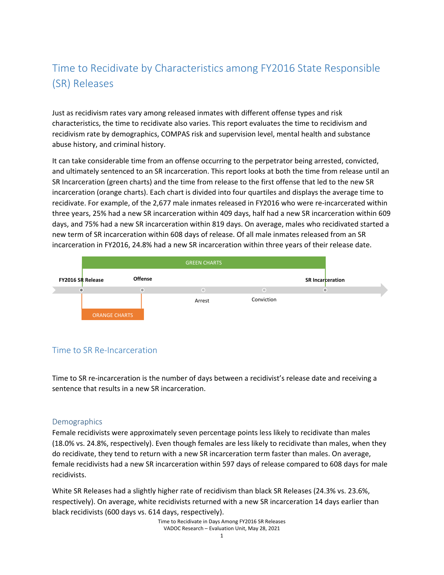# Time to Recidivate by Characteristics among FY2016 State Responsible (SR) Releases

Just as recidivism rates vary among released inmates with different offense types and risk characteristics, the time to recidivate also varies. This report evaluates the time to recidivism and recidivism rate by demographics, COMPAS risk and supervision level, mental health and substance abuse history, and criminal history.

It can take considerable time from an offense occurring to the perpetrator being arrested, convicted, and ultimately sentenced to an SR incarceration. This report looks at both the time from release until an SR Incarceration (green charts) and the time from release to the first offense that led to the new SR incarceration (orange charts). Each chart is divided into four quartiles and displays the average time to recidivate. For example, of the 2,677 male inmates released in FY2016 who were re-incarcerated within three years, 25% had a new SR incarceration within 409 days, half had a new SR incarceration within 609 days, and 75% had a new SR incarceration within 819 days. On average, males who recidivated started a new term of SR incarceration within 608 days of release. Of all male inmates released from an SR incarceration in FY2016, 24.8% had a new SR incarceration within three years of their release date.



# Time to SR Re‐Incarceration

Time to SR re-incarceration is the number of days between a recidivist's release date and receiving a sentence that results in a new SR incarceration.

## **Demographics**

Female recidivists were approximately seven percentage points less likely to recidivate than males (18.0% vs. 24.8%, respectively). Even though females are less likely to recidivate than males, when they do recidivate, they tend to return with a new SR incarceration term faster than males. On average, female recidivists had a new SR incarceration within 597 days of release compared to 608 days for male recidivists.

White SR Releases had a slightly higher rate of recidivism than black SR Releases (24.3% vs. 23.6%, respectively). On average, white recidivists returned with a new SR incarceration 14 days earlier than black recidivists (600 days vs. 614 days, respectively).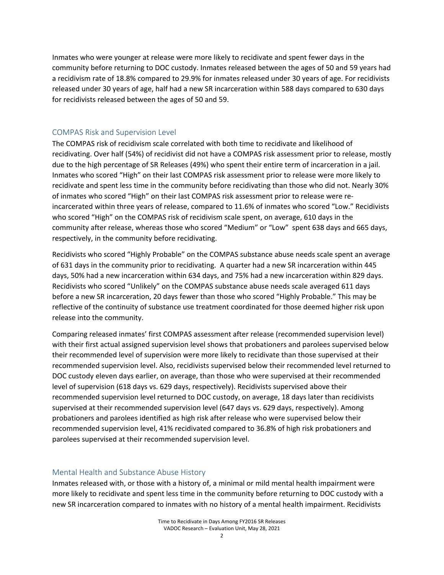Inmates who were younger at release were more likely to recidivate and spent fewer days in the community before returning to DOC custody. Inmates released between the ages of 50 and 59 years had a recidivism rate of 18.8% compared to 29.9% for inmates released under 30 years of age. For recidivists released under 30 years of age, half had a new SR incarceration within 588 days compared to 630 days for recidivists released between the ages of 50 and 59.

# COMPAS Risk and Supervision Level

The COMPAS risk of recidivism scale correlated with both time to recidivate and likelihood of recidivating. Over half (54%) of recidivist did not have a COMPAS risk assessment prior to release, mostly due to the high percentage of SR Releases (49%) who spent their entire term of incarceration in a jail. Inmates who scored "High" on their last COMPAS risk assessment prior to release were more likely to recidivate and spent less time in the community before recidivating than those who did not. Nearly 30% of inmates who scored "High" on their last COMPAS risk assessment prior to release were re‐ incarcerated within three years of release, compared to 11.6% of inmates who scored "Low." Recidivists who scored "High" on the COMPAS risk of recidivism scale spent, on average, 610 days in the community after release, whereas those who scored "Medium" or "Low" spent 638 days and 665 days, respectively, in the community before recidivating.

Recidivists who scored "Highly Probable" on the COMPAS substance abuse needs scale spent an average of 631 days in the community prior to recidivating. A quarter had a new SR incarceration within 445 days, 50% had a new incarceration within 634 days, and 75% had a new incarceration within 829 days. Recidivists who scored "Unlikely" on the COMPAS substance abuse needs scale averaged 611 days before a new SR incarceration, 20 days fewer than those who scored "Highly Probable." This may be reflective of the continuity of substance use treatment coordinated for those deemed higher risk upon release into the community.

Comparing released inmates' first COMPAS assessment after release (recommended supervision level) with their first actual assigned supervision level shows that probationers and parolees supervised below their recommended level of supervision were more likely to recidivate than those supervised at their recommended supervision level. Also, recidivists supervised below their recommended level returned to DOC custody eleven days earlier, on average, than those who were supervised at their recommended level of supervision (618 days vs. 629 days, respectively). Recidivists supervised above their recommended supervision level returned to DOC custody, on average, 18 days later than recidivists supervised at their recommended supervision level (647 days vs. 629 days, respectively). Among probationers and parolees identified as high risk after release who were supervised below their recommended supervision level, 41% recidivated compared to 36.8% of high risk probationers and parolees supervised at their recommended supervision level.

## Mental Health and Substance Abuse History

Inmates released with, or those with a history of, a minimal or mild mental health impairment were more likely to recidivate and spent less time in the community before returning to DOC custody with a new SR incarceration compared to inmates with no history of a mental health impairment. Recidivists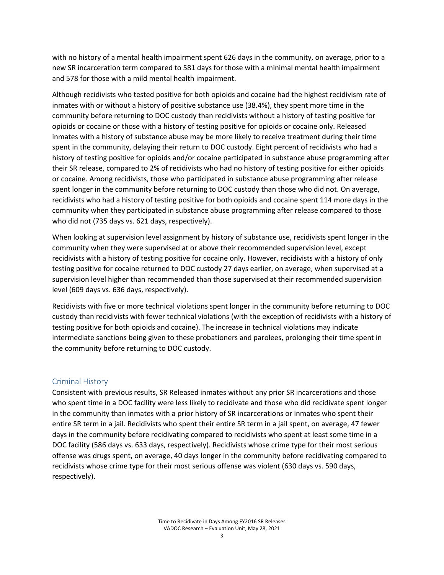with no history of a mental health impairment spent 626 days in the community, on average, prior to a new SR incarceration term compared to 581 days for those with a minimal mental health impairment and 578 for those with a mild mental health impairment.

Although recidivists who tested positive for both opioids and cocaine had the highest recidivism rate of inmates with or without a history of positive substance use (38.4%), they spent more time in the community before returning to DOC custody than recidivists without a history of testing positive for opioids or cocaine or those with a history of testing positive for opioids or cocaine only. Released inmates with a history of substance abuse may be more likely to receive treatment during their time spent in the community, delaying their return to DOC custody. Eight percent of recidivists who had a history of testing positive for opioids and/or cocaine participated in substance abuse programming after their SR release, compared to 2% of recidivists who had no history of testing positive for either opioids or cocaine. Among recidivists, those who participated in substance abuse programming after release spent longer in the community before returning to DOC custody than those who did not. On average, recidivists who had a history of testing positive for both opioids and cocaine spent 114 more days in the community when they participated in substance abuse programming after release compared to those who did not (735 days vs. 621 days, respectively).

When looking at supervision level assignment by history of substance use, recidivists spent longer in the community when they were supervised at or above their recommended supervision level, except recidivists with a history of testing positive for cocaine only. However, recidivists with a history of only testing positive for cocaine returned to DOC custody 27 days earlier, on average, when supervised at a supervision level higher than recommended than those supervised at their recommended supervision level (609 days vs. 636 days, respectively).

Recidivists with five or more technical violations spent longer in the community before returning to DOC custody than recidivists with fewer technical violations (with the exception of recidivists with a history of testing positive for both opioids and cocaine). The increase in technical violations may indicate intermediate sanctions being given to these probationers and parolees, prolonging their time spent in the community before returning to DOC custody.

#### Criminal History

Consistent with previous results, SR Released inmates without any prior SR incarcerations and those who spent time in a DOC facility were less likely to recidivate and those who did recidivate spent longer in the community than inmates with a prior history of SR incarcerations or inmates who spent their entire SR term in a jail. Recidivists who spent their entire SR term in a jail spent, on average, 47 fewer days in the community before recidivating compared to recidivists who spent at least some time in a DOC facility (586 days vs. 633 days, respectively). Recidivists whose crime type for their most serious offense was drugs spent, on average, 40 days longer in the community before recidivating compared to recidivists whose crime type for their most serious offense was violent (630 days vs. 590 days, respectively).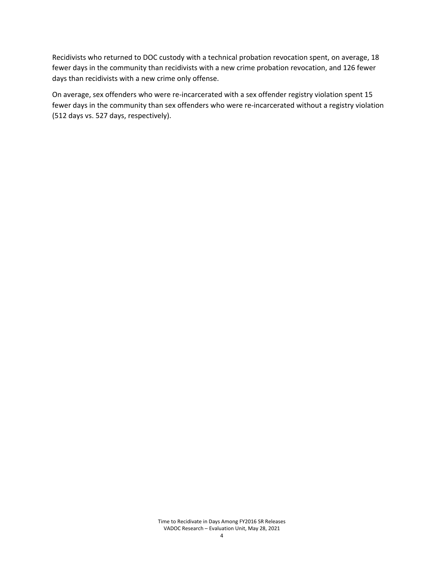Recidivists who returned to DOC custody with a technical probation revocation spent, on average, 18 fewer days in the community than recidivists with a new crime probation revocation, and 126 fewer days than recidivists with a new crime only offense.

On average, sex offenders who were re‐incarcerated with a sex offender registry violation spent 15 fewer days in the community than sex offenders who were re-incarcerated without a registry violation (512 days vs. 527 days, respectively).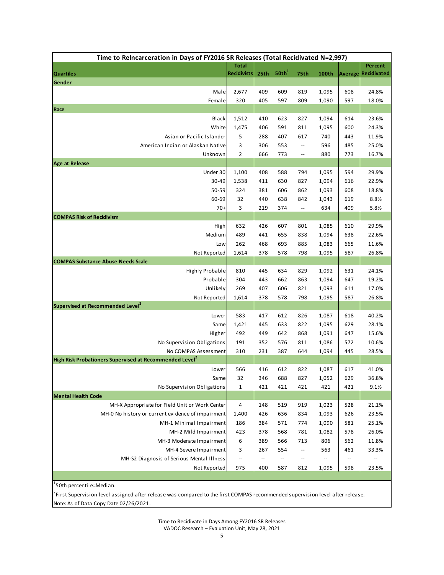|                                                                                             | Time to ReIncarceration in Days of FY2016 SR Releases (Total Recidivated N=2,997) |                          |                          |                          |                |            |                    |  |
|---------------------------------------------------------------------------------------------|-----------------------------------------------------------------------------------|--------------------------|--------------------------|--------------------------|----------------|------------|--------------------|--|
|                                                                                             | <b>Total</b>                                                                      |                          |                          |                          |                |            | Percent            |  |
| <b>Quartiles</b>                                                                            | <b>Recidivists</b>                                                                | 25th                     | 50th <sup>1</sup>        | <b>75th</b>              | 100th          | Average    | <b>Recidivated</b> |  |
| Gender                                                                                      |                                                                                   |                          |                          |                          |                |            |                    |  |
| Male                                                                                        | 2,677                                                                             | 409                      | 609                      | 819                      | 1,095          | 608        | 24.8%              |  |
| Female                                                                                      | 320                                                                               | 405                      | 597                      | 809                      | 1,090          | 597        | 18.0%              |  |
| Race                                                                                        |                                                                                   |                          |                          |                          |                |            |                    |  |
| Black<br>White                                                                              | 1,512<br>1,475                                                                    | 410<br>406               | 623<br>591               | 827<br>811               | 1,094<br>1,095 | 614<br>600 | 23.6%<br>24.3%     |  |
| Asian or Pacific Islander                                                                   | 5                                                                                 | 288                      | 407                      | 617                      | 740            | 443        | 11.9%              |  |
| American Indian or Alaskan Native                                                           | 3                                                                                 | 306                      | 553                      | $\overline{\phantom{a}}$ | 596            | 485        | 25.0%              |  |
| Unknown                                                                                     | $\overline{2}$                                                                    | 666                      | 773                      | $\overline{\phantom{a}}$ | 880            | 773        | 16.7%              |  |
| Age at Release                                                                              |                                                                                   |                          |                          |                          |                |            |                    |  |
| Under 30                                                                                    | 1,100                                                                             | 408                      | 588                      | 794                      | 1,095          | 594        | 29.9%              |  |
| 30-49                                                                                       | 1,538                                                                             | 411                      | 630                      | 827                      | 1,094          | 616        | 22.9%              |  |
| 50-59                                                                                       | 324                                                                               | 381                      | 606                      | 862                      | 1,093          | 608        | 18.8%              |  |
| 60-69                                                                                       | 32                                                                                | 440                      | 638                      | 842                      | 1,043          | 619        | 8.8%               |  |
| $70+$                                                                                       | 3                                                                                 | 219                      | 374                      | --                       | 634            | 409        | 5.8%               |  |
| <b>COMPAS Risk of Recidivism</b>                                                            |                                                                                   |                          |                          |                          |                |            |                    |  |
| High                                                                                        | 632                                                                               | 426                      | 607                      | 801                      | 1,085          | 610        | 29.9%              |  |
| Medium                                                                                      | 489                                                                               | 441                      | 655                      | 838                      | 1,094          | 638        | 22.6%              |  |
| Low                                                                                         | 262                                                                               | 468                      | 693                      | 885                      | 1,083          | 665        | 11.6%              |  |
| Not Reported                                                                                | 1,614                                                                             | 378                      | 578                      | 798                      | 1,095          | 587        | 26.8%              |  |
| <b>COMPAS Substance Abuse Needs Scale</b>                                                   |                                                                                   |                          |                          |                          |                |            |                    |  |
| Highly Probable                                                                             | 810                                                                               | 445                      | 634                      | 829                      | 1,092          | 631        | 24.1%              |  |
| Probable                                                                                    | 304                                                                               | 443                      | 662                      | 863                      | 1,094          | 647        | 19.2%              |  |
| Unlikely                                                                                    | 269                                                                               | 407                      | 606                      | 821                      | 1,093          | 611        | 17.0%              |  |
| Not Reported                                                                                | 1,614                                                                             | 378                      | 578                      | 798                      | 1,095          | 587        | 26.8%              |  |
| Supervised at Recommended Level <sup>2</sup>                                                |                                                                                   |                          |                          |                          |                |            |                    |  |
| Lower                                                                                       | 583                                                                               | 417                      | 612                      | 826                      | 1,087          | 618        | 40.2%              |  |
| Same                                                                                        | 1,421                                                                             | 445                      | 633                      | 822                      | 1,095          | 629        | 28.1%              |  |
| Higher                                                                                      | 492                                                                               | 449                      | 642                      | 868                      | 1,091          | 647        | 15.6%              |  |
| No Supervision Obligations                                                                  | 191                                                                               | 352                      | 576                      | 811                      | 1,086          | 572        | 10.6%              |  |
| No COMPAS Assessment<br>High Risk Probationers Supervised at Recommended Level <sup>2</sup> | 310                                                                               | 231                      | 387                      | 644                      | 1,094          | 445        | 28.5%              |  |
|                                                                                             |                                                                                   |                          |                          |                          |                |            |                    |  |
| Lower                                                                                       | 566                                                                               | 416                      | 612                      | 822                      | 1,087          | 617        | 41.0%              |  |
| Same                                                                                        | 32                                                                                | 346                      | 688<br>421               | 827<br>421               | 1,052<br>421   | 629        | 36.8%              |  |
| No Supervision Obligations<br><b>Mental Health Code</b>                                     | $\mathbf 1$                                                                       | 421                      |                          |                          |                | 421        | 9.1%               |  |
| MH-X Appropriate for Field Unit or Work Center                                              | 4                                                                                 | 148                      | 519                      | 919                      | 1,023          | 528        | 21.1%              |  |
| MH-0 No history or current evidence of impairment                                           | 1,400                                                                             | 426                      | 636                      | 834                      | 1,093          | 626        | 23.5%              |  |
| MH-1 Minimal Impairment                                                                     | 186                                                                               | 384                      | 571                      | 774                      | 1,090          | 581        | 25.1%              |  |
| MH-2 Mild Impairment                                                                        | 423                                                                               | 378                      | 568                      | 781                      | 1,082          | 578        | 26.0%              |  |
| MH-3 Moderate Impairment                                                                    | 6                                                                                 | 389                      | 566                      | 713                      | 806            | 562        | 11.8%              |  |
| MH-4 Severe Impairment                                                                      | 3                                                                                 | 267                      | 554                      | $\overline{\phantom{a}}$ | 563            | 461        | 33.3%              |  |
| MH-S2 Diagnosis of Serious Mental Illness                                                   | $\overline{\phantom{a}}$                                                          | $\overline{\phantom{a}}$ | $\overline{\phantom{a}}$ | $\overline{\phantom{a}}$ | --             | --         | --                 |  |
| Not Reported                                                                                | 975                                                                               | 400                      | 587                      | 812                      | 1,095          | 598        | 23.5%              |  |
|                                                                                             |                                                                                   |                          |                          |                          |                |            |                    |  |

<sup>1</sup>50th percentile=Median.

<sup>2</sup> First Supervision level assigned after release was compared to the first COMPAS recommended supervision level after release. Note: As of Data Copy Date 02/26/2021.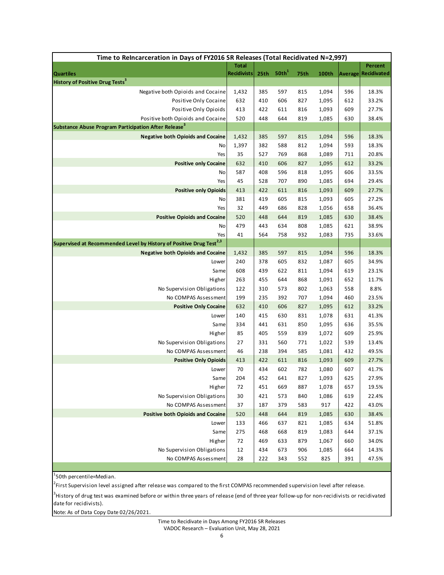| Time to ReIncarceration in Days of FY2016 SR Releases (Total Recidivated N=2,997)                     |                    |            |                   |            |              |            |                    |  |  |
|-------------------------------------------------------------------------------------------------------|--------------------|------------|-------------------|------------|--------------|------------|--------------------|--|--|
|                                                                                                       | <b>Total</b>       |            |                   |            |              |            | Percent            |  |  |
| <b>Quartiles</b>                                                                                      | <b>Recidivists</b> | 25th       | 50th <sup>1</sup> | 75th       | 100th        | Average    | <b>Recidivated</b> |  |  |
| <b>History of Positive Drug Tests<sup>3</sup></b>                                                     |                    |            |                   |            |              |            |                    |  |  |
| Negative both Opioids and Cocaine                                                                     | 1,432              | 385        | 597               | 815        | 1,094        | 596        | 18.3%              |  |  |
| Positive Only Cocaine                                                                                 | 632                | 410        | 606               | 827        | 1,095        | 612        | 33.2%              |  |  |
| Positive Only Opioids                                                                                 | 413                | 422        | 611               | 816        | 1,093        | 609        | 27.7%              |  |  |
| Positive both Opioids and Cocaine<br>Substance Abuse Program Participation After Release <sup>3</sup> | 520                | 448        | 644               | 819        | 1,085        | 630        | 38.4%              |  |  |
| <b>Negative both Opioids and Cocaine</b>                                                              | 1,432              | 385        | 597               | 815        | 1,094        | 596        | 18.3%              |  |  |
| No                                                                                                    | 1,397              | 382        | 588               | 812        | 1,094        | 593        | 18.3%              |  |  |
| Yes                                                                                                   | 35                 | 527        | 769               | 868        | 1,089        | 711        | 20.8%              |  |  |
| <b>Positive only Cocaine</b>                                                                          | 632                | 410        | 606               | 827        | 1,095        | 612        | 33.2%              |  |  |
| No                                                                                                    | 587                | 408        | 596               | 818        | 1,095        | 606        | 33.5%              |  |  |
| Yes                                                                                                   | 45                 | 528        | 707               | 890        | 1,085        | 694        | 29.4%              |  |  |
| <b>Positive only Opioids</b>                                                                          | 413                | 422        | 611               | 816        | 1,093        | 609        | 27.7%              |  |  |
| No                                                                                                    | 381                | 419        | 605               | 815        | 1,093        | 605        | 27.2%              |  |  |
| Yes                                                                                                   | 32                 | 449        | 686               | 828        | 1,056        | 658        | 36.4%              |  |  |
| <b>Positive Opioids and Cocaine</b>                                                                   | 520                | 448        | 644               | 819        | 1,085        | 630        | 38.4%              |  |  |
| No                                                                                                    | 479                | 443        | 634               | 808        | 1,085        | 621        | 38.9%              |  |  |
| Yes                                                                                                   | 41                 | 564        | 758               | 932        | 1,083        | 735        | 33.6%              |  |  |
| Supervised at Recommended Level by History of Positive Drug Test <sup>2,3</sup>                       |                    |            |                   |            |              |            |                    |  |  |
| <b>Negative both Opioids and Cocaine</b>                                                              | 1,432              | 385        | 597               | 815        | 1,094        | 596        | 18.3%              |  |  |
| Lower                                                                                                 | 240                | 378        | 605               | 832        | 1,087        | 605        | 34.9%              |  |  |
| Same                                                                                                  | 608                | 439        | 622               | 811        | 1,094        | 619        | 23.1%              |  |  |
| Higher                                                                                                | 263                | 455        | 644               | 868        | 1,091        | 652        | 11.7%              |  |  |
| No Supervision Obligations                                                                            | 122                | 310        | 573               | 802        | 1,063        | 558        | 8.8%               |  |  |
| No COMPAS Assessment                                                                                  | 199                | 235        | 392               | 707        | 1,094        | 460        | 23.5%              |  |  |
| <b>Positive Only Cocaine</b>                                                                          | 632                | 410        | 606               | 827        | 1,095        | 612        | 33.2%              |  |  |
| Lower                                                                                                 | 140                | 415        | 630               | 831        | 1,078        | 631        | 41.3%              |  |  |
| Same                                                                                                  | 334                | 441        | 631               | 850        | 1,095        | 636        | 35.5%              |  |  |
| Higher                                                                                                | 85                 | 405        | 559               | 839        | 1,072        | 609        | 25.9%              |  |  |
| No Supervision Obligations                                                                            | 27                 | 331        | 560               | 771        | 1,022        | 539        | 13.4%              |  |  |
| No COMPAS Assessment                                                                                  | 46                 | 238        | 394               | 585        | 1,081        | 432        | 49.5%              |  |  |
| <b>Positive Only Opioids</b>                                                                          | 413                | 422        | 611               | 816        | 1,093        | 609        | 27.7%              |  |  |
| Lower                                                                                                 | 70                 | 434        | 602               | 782        | 1,080        | 607        | 41.7%              |  |  |
| Same                                                                                                  | 204                | 452        | 641               | 827        | 1,093        | 625        | 27.9%              |  |  |
| Higher                                                                                                | 72                 | 451        | 669               | 887        | 1,078        | 657        | 19.5%              |  |  |
| No Supervision Obligations                                                                            | 30                 | 421        | 573               | 840        | 1,086        | 619        | 22.4%              |  |  |
| No COMPAS Assessment<br><b>Positive both Opioids and Cocaine</b>                                      | 37<br>520          | 187<br>448 | 379<br>644        | 583<br>819 | 917<br>1,085 | 422<br>630 | 43.0%<br>38.4%     |  |  |
| Lower                                                                                                 | 133                | 466        | 637               | 821        | 1,085        | 634        | 51.8%              |  |  |
| Same                                                                                                  | 275                | 468        | 668               | 819        | 1,083        | 644        | 37.1%              |  |  |
| Higher                                                                                                | 72                 | 469        | 633               | 879        | 1,067        | 660        | 34.0%              |  |  |
| No Supervision Obligations                                                                            | 12                 | 434        | 673               | 906        | 1,085        | 664        | 14.3%              |  |  |
| No COMPAS Assessment                                                                                  | 28                 | 222        | 343               | 552        | 825          | 391        | 47.5%              |  |  |
|                                                                                                       |                    |            |                   |            |              |            |                    |  |  |

<sup>1</sup>50th percentile=Median.

<sup>2</sup>First Supervision level assigned after release was compared to the first COMPAS recommended supervision level after release.

3 History of drug test was examined before or within three years of release (end of three year follow‐up for non‐recidivists or recidivated date for recidivists).

Note: As of Data Copy Date 02/26/2021.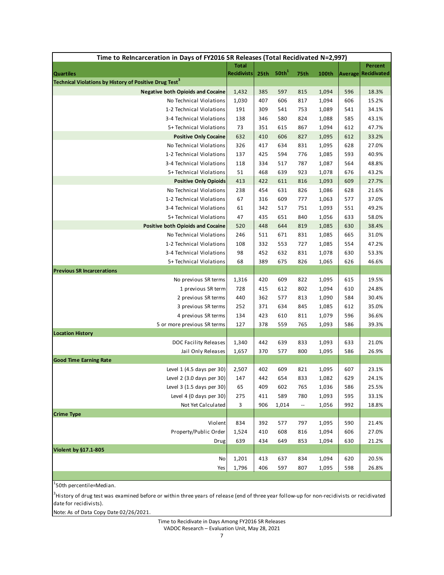| Time to ReIncarceration in Days of FY2016 SR Releases (Total Recidivated N=2,997) |                    |            |                   |                          |                |            |                |  |  |
|-----------------------------------------------------------------------------------|--------------------|------------|-------------------|--------------------------|----------------|------------|----------------|--|--|
|                                                                                   | <b>Total</b>       |            |                   |                          |                |            | Percent        |  |  |
| <b>Quartiles</b>                                                                  | <b>Recidivists</b> | 25th       | 50th <sup>1</sup> | 75th                     | 100th          | Average    | Recidivated    |  |  |
| Technical Violations by History of Positive Drug Test <sup>3</sup>                |                    |            |                   |                          |                |            |                |  |  |
| <b>Negative both Opioids and Cocaine</b>                                          | 1,432              | 385        | 597               | 815                      | 1,094          | 596        | 18.3%          |  |  |
| No Technical Violations                                                           | 1,030              | 407        | 606               | 817                      | 1,094          | 606        | 15.2%          |  |  |
| 1-2 Technical Violations                                                          | 191                | 309        | 541               | 753                      | 1,089          | 541        | 34.1%          |  |  |
| 3-4 Technical Violations                                                          | 138                | 346        | 580               | 824                      | 1,088          | 585        | 43.1%          |  |  |
| 5+ Technical Violations                                                           | 73                 | 351        | 615               | 867                      | 1,094          | 612        | 47.7%          |  |  |
| <b>Positive Only Cocaine</b><br>No Technical Violations                           | 632<br>326         | 410<br>417 | 606<br>634        | 827<br>831               | 1,095<br>1,095 | 612<br>628 | 33.2%<br>27.0% |  |  |
| 1-2 Technical Violations                                                          | 137                | 425        | 594               | 776                      | 1,085          | 593        | 40.9%          |  |  |
| 3-4 Technical Violations                                                          | 118                | 334        | 517               | 787                      | 1,087          | 564        | 48.8%          |  |  |
| 5+ Technical Violations                                                           | 51                 | 468        | 639               | 923                      | 1,078          | 676        | 43.2%          |  |  |
| <b>Positive Only Opioids</b>                                                      | 413                | 422        | 611               | 816                      | 1,093          | 609        | 27.7%          |  |  |
| No Technical Violations                                                           | 238                | 454        | 631               | 826                      | 1,086          | 628        | 21.6%          |  |  |
| 1-2 Technical Violations                                                          | 67                 | 316        | 609               | 777                      | 1,063          | 577        | 37.0%          |  |  |
| 3-4 Technical Violations                                                          | 61                 | 342        | 517               | 751                      | 1,093          | 551        | 49.2%          |  |  |
| 5+ Technical Violations                                                           | 47                 | 435        | 651               | 840                      | 1,056          | 633        | 58.0%          |  |  |
| <b>Positive both Opioids and Cocaine</b>                                          | 520                | 448        | 644               | 819                      | 1,085          | 630        | 38.4%          |  |  |
| No Technical Violations                                                           | 246                | 511        | 671               | 831                      | 1,085          | 665        | 31.0%          |  |  |
| 1-2 Technical Violations                                                          | 108                | 332        | 553               | 727                      | 1,085          | 554        | 47.2%          |  |  |
| 3-4 Technical Violations                                                          | 98                 | 452        | 632               | 831                      | 1,078          | 630        | 53.3%          |  |  |
| 5+ Technical Violations                                                           | 68                 | 389        | 675               | 826                      | 1,065          | 626        | 46.6%          |  |  |
| <b>Previous SR Incarcerations</b>                                                 |                    |            |                   |                          |                |            |                |  |  |
| No previous SR terms                                                              | 1,316              | 420        | 609               | 822                      | 1,095          | 615        | 19.5%          |  |  |
| 1 previous SR term                                                                | 728                | 415        | 612               | 802                      | 1,094          | 610        | 24.8%          |  |  |
| 2 previous SR terms                                                               | 440                | 362        | 577               | 813                      | 1,090          | 584        | 30.4%          |  |  |
| 3 previous SR terms                                                               | 252                | 371        | 634               | 845                      | 1,085          | 612        | 35.0%          |  |  |
| 4 previous SR terms                                                               | 134                | 423        | 610               | 811                      | 1,079          | 596        | 36.6%          |  |  |
| 5 or more previous SR terms                                                       | 127                | 378        | 559               | 765                      | 1,093          | 586        | 39.3%          |  |  |
| <b>Location History</b>                                                           |                    |            |                   |                          |                |            |                |  |  |
| DOC Facility Releases                                                             | 1,340              | 442        | 639               | 833                      | 1,093          | 633        | 21.0%          |  |  |
| Jail Only Releases                                                                | 1,657              | 370        | 577               | 800                      | 1,095          | 586        | 26.9%          |  |  |
| <b>Good Time Earning Rate</b>                                                     |                    |            |                   |                          |                |            |                |  |  |
| Level 1 (4.5 days per 30)                                                         | 2,507              | 402        | 609               | 821                      | 1,095          | 607        | 23.1%          |  |  |
| Level 2 (3.0 days per 30)                                                         | 147                | 442        | 654               | 833                      | 1,082          | 629        | 24.1%          |  |  |
| Level 3 (1.5 days per 30)                                                         | 65                 | 409        | 602               | 765                      | 1,036          | 586        | 25.5%          |  |  |
| Level 4 (0 days per 30)                                                           | 275                | 411        | 589               | 780                      | 1,093          | 595        | 33.1%          |  |  |
| Not Yet Calculated                                                                | 3                  | 906        | 1,014             | $\overline{\phantom{a}}$ | 1,056          | 992        | 18.8%          |  |  |
| <b>Crime Type</b><br>Violent                                                      | 834                | 392        | 577               | 797                      | 1,095          | 590        | 21.4%          |  |  |
| Property/Public Order                                                             | 1,524              | 410        | 608               | 816                      | 1,094          | 606        | 27.0%          |  |  |
| Drug                                                                              | 639                | 434        | 649               | 853                      | 1,094          | 630        | 21.2%          |  |  |
| Violent by §17.1-805                                                              |                    |            |                   |                          |                |            |                |  |  |
| No                                                                                | 1,201              | 413        | 637               | 834                      | 1,094          | 620        | 20.5%          |  |  |
| Yes                                                                               | 1,796              | 406        | 597               | 807                      | 1,095          | 598        | 26.8%          |  |  |
|                                                                                   |                    |            |                   |                          |                |            |                |  |  |

<sup>1</sup>50th percentile=Median.

3 History of drug test was examined before or within three years of release (end of three year follow‐up for non‐recidivists or recidivated date for recidivists).

Note: As of Data Copy Date 02/26/2021.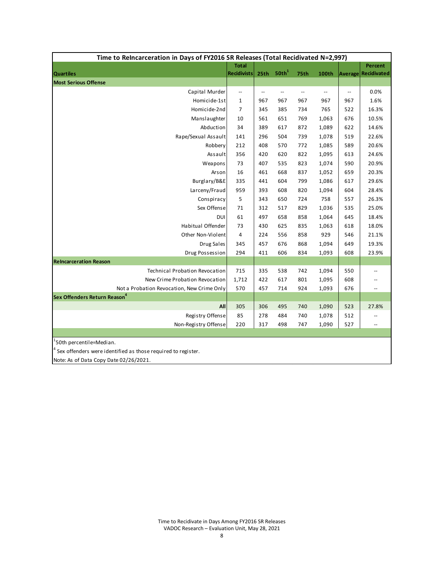| Time to ReIncarceration in Days of FY2016 SR Releases (Total Recidivated N=2,997) |                          |                          |                          |                          |              |     |                            |  |  |
|-----------------------------------------------------------------------------------|--------------------------|--------------------------|--------------------------|--------------------------|--------------|-----|----------------------------|--|--|
|                                                                                   | <b>Total</b>             |                          |                          |                          |              |     | Percent                    |  |  |
| <b>Quartiles</b>                                                                  | <b>Recidivists</b>       | 25th                     | 50th <sup>1</sup>        | 75th                     | <b>100th</b> |     | <b>Average Recidivated</b> |  |  |
| <b>Most Serious Offense</b>                                                       |                          |                          |                          |                          |              |     |                            |  |  |
| Capital Murder                                                                    | $\overline{\phantom{a}}$ | $\overline{\phantom{a}}$ | $\overline{\phantom{a}}$ | $\overline{\phantom{a}}$ | --           | --  | 0.0%                       |  |  |
| Homicide-1st                                                                      | $\mathbf{1}$             | 967                      | 967                      | 967                      | 967          | 967 | 1.6%                       |  |  |
| Homicide-2nd                                                                      | $\overline{7}$           | 345                      | 385                      | 734                      | 765          | 522 | 16.3%                      |  |  |
| Manslaughter                                                                      | 10                       | 561                      | 651                      | 769                      | 1,063        | 676 | 10.5%                      |  |  |
| Abduction                                                                         | 34                       | 389                      | 617                      | 872                      | 1,089        | 622 | 14.6%                      |  |  |
| Rape/Sexual Assault                                                               | 141                      | 296                      | 504                      | 739                      | 1,078        | 519 | 22.6%                      |  |  |
| Robbery                                                                           | 212                      | 408                      | 570                      | 772                      | 1,085        | 589 | 20.6%                      |  |  |
| Assault                                                                           | 356                      | 420                      | 620                      | 822                      | 1,095        | 613 | 24.6%                      |  |  |
| Weapons                                                                           | 73                       | 407                      | 535                      | 823                      | 1,074        | 590 | 20.9%                      |  |  |
| Arsonl                                                                            | 16                       | 461                      | 668                      | 837                      | 1,052        | 659 | 20.3%                      |  |  |
| Burglary/B&E                                                                      | 335                      | 441                      | 604                      | 799                      | 1,086        | 617 | 29.6%                      |  |  |
| Larceny/Fraud                                                                     | 959                      | 393                      | 608                      | 820                      | 1,094        | 604 | 28.4%                      |  |  |
| Conspiracy                                                                        | 5                        | 343                      | 650                      | 724                      | 758          | 557 | 26.3%                      |  |  |
| Sex Offense                                                                       | 71                       | 312                      | 517                      | 829                      | 1,036        | 535 | 25.0%                      |  |  |
| DUI                                                                               | 61                       | 497                      | 658                      | 858                      | 1,064        | 645 | 18.4%                      |  |  |
| Habitual Offender                                                                 | 73                       | 430                      | 625                      | 835                      | 1,063        | 618 | 18.0%                      |  |  |
| Other Non-Violent                                                                 | $\sqrt{4}$               | 224                      | 556                      | 858                      | 929          | 546 | 21.1%                      |  |  |
| Drug Sales                                                                        | 345                      | 457                      | 676                      | 868                      | 1,094        | 649 | 19.3%                      |  |  |
| Drug Possession                                                                   | 294                      | 411                      | 606                      | 834                      | 1,093        | 608 | 23.9%                      |  |  |
| <b>Reincarceration Reason</b>                                                     |                          |                          |                          |                          |              |     |                            |  |  |
| Technical Probation Revocation                                                    | 715                      | 335                      | 538                      | 742                      | 1,094        | 550 | <u></u>                    |  |  |
| New Crime Probation Revocation                                                    | 1,712                    | 422                      | 617                      | 801                      | 1,095        | 608 |                            |  |  |
| Not a Probation Revocation, New Crime Only                                        | 570                      | 457                      | 714                      | 924                      | 1,093        | 676 |                            |  |  |
| Sex Offenders Return Reason $^{\mathtt{4}}$                                       |                          |                          |                          |                          |              |     |                            |  |  |
| All                                                                               | 305                      | 306                      | 495                      | 740                      | 1,090        | 523 | 27.8%                      |  |  |
| Registry Offense                                                                  | 85                       | 278                      | 484                      | 740                      | 1,078        | 512 |                            |  |  |
| Non-Registry Offense                                                              | 220                      | 317                      | 498                      | 747                      | 1,090        | 527 | $\overline{a}$             |  |  |
|                                                                                   |                          |                          |                          |                          |              |     |                            |  |  |
| <sup>1</sup> 50th percentile=Median.                                              |                          |                          |                          |                          |              |     |                            |  |  |

 $4$  Sex offenders were identified as those required to register.

Note: As of Data Copy Date 02/26/2021.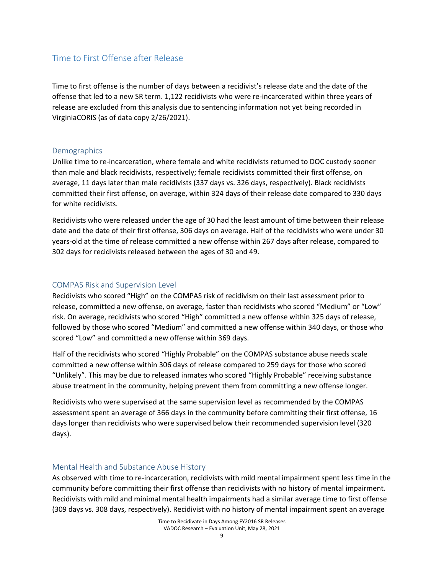# Time to First Offense after Release

Time to first offense is the number of days between a recidivist's release date and the date of the offense that led to a new SR term. 1,122 recidivists who were re-incarcerated within three years of release are excluded from this analysis due to sentencing information not yet being recorded in VirginiaCORIS (as of data copy 2/26/2021).

# **Demographics**

Unlike time to re‐incarceration, where female and white recidivists returned to DOC custody sooner than male and black recidivists, respectively; female recidivists committed their first offense, on average, 11 days later than male recidivists (337 days vs. 326 days, respectively). Black recidivists committed their first offense, on average, within 324 days of their release date compared to 330 days for white recidivists.

Recidivists who were released under the age of 30 had the least amount of time between their release date and the date of their first offense, 306 days on average. Half of the recidivists who were under 30 years‐old at the time of release committed a new offense within 267 days after release, compared to 302 days for recidivists released between the ages of 30 and 49.

# COMPAS Risk and Supervision Level

Recidivists who scored "High" on the COMPAS risk of recidivism on their last assessment prior to release, committed a new offense, on average, faster than recidivists who scored "Medium" or "Low" risk. On average, recidivists who scored "High" committed a new offense within 325 days of release, followed by those who scored "Medium" and committed a new offense within 340 days, or those who scored "Low" and committed a new offense within 369 days.

Half of the recidivists who scored "Highly Probable" on the COMPAS substance abuse needs scale committed a new offense within 306 days of release compared to 259 days for those who scored "Unlikely". This may be due to released inmates who scored "Highly Probable" receiving substance abuse treatment in the community, helping prevent them from committing a new offense longer.

Recidivists who were supervised at the same supervision level as recommended by the COMPAS assessment spent an average of 366 days in the community before committing their first offense, 16 days longer than recidivists who were supervised below their recommended supervision level (320 days).

# Mental Health and Substance Abuse History

As observed with time to re‐incarceration, recidivists with mild mental impairment spent less time in the community before committing their first offense than recidivists with no history of mental impairment. Recidivists with mild and minimal mental health impairments had a similar average time to first offense (309 days vs. 308 days, respectively). Recidivist with no history of mental impairment spent an average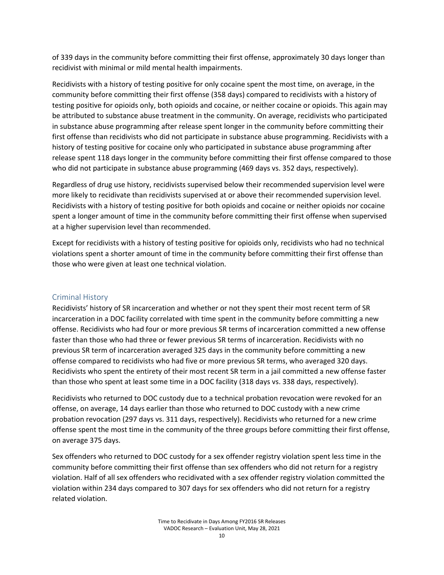of 339 days in the community before committing their first offense, approximately 30 days longer than recidivist with minimal or mild mental health impairments.

Recidivists with a history of testing positive for only cocaine spent the most time, on average, in the community before committing their first offense (358 days) compared to recidivists with a history of testing positive for opioids only, both opioids and cocaine, or neither cocaine or opioids. This again may be attributed to substance abuse treatment in the community. On average, recidivists who participated in substance abuse programming after release spent longer in the community before committing their first offense than recidivists who did not participate in substance abuse programming. Recidivists with a history of testing positive for cocaine only who participated in substance abuse programming after release spent 118 days longer in the community before committing their first offense compared to those who did not participate in substance abuse programming (469 days vs. 352 days, respectively).

Regardless of drug use history, recidivists supervised below their recommended supervision level were more likely to recidivate than recidivists supervised at or above their recommended supervision level. Recidivists with a history of testing positive for both opioids and cocaine or neither opioids nor cocaine spent a longer amount of time in the community before committing their first offense when supervised at a higher supervision level than recommended.

Except for recidivists with a history of testing positive for opioids only, recidivists who had no technical violations spent a shorter amount of time in the community before committing their first offense than those who were given at least one technical violation.

# Criminal History

Recidivists' history of SR incarceration and whether or not they spent their most recent term of SR incarceration in a DOC facility correlated with time spent in the community before committing a new offense. Recidivists who had four or more previous SR terms of incarceration committed a new offense faster than those who had three or fewer previous SR terms of incarceration. Recidivists with no previous SR term of incarceration averaged 325 days in the community before committing a new offense compared to recidivists who had five or more previous SR terms, who averaged 320 days. Recidivists who spent the entirety of their most recent SR term in a jail committed a new offense faster than those who spent at least some time in a DOC facility (318 days vs. 338 days, respectively).

Recidivists who returned to DOC custody due to a technical probation revocation were revoked for an offense, on average, 14 days earlier than those who returned to DOC custody with a new crime probation revocation (297 days vs. 311 days, respectively). Recidivists who returned for a new crime offense spent the most time in the community of the three groups before committing their first offense, on average 375 days.

Sex offenders who returned to DOC custody for a sex offender registry violation spent less time in the community before committing their first offense than sex offenders who did not return for a registry violation. Half of all sex offenders who recidivated with a sex offender registry violation committed the violation within 234 days compared to 307 days for sex offenders who did not return for a registry related violation.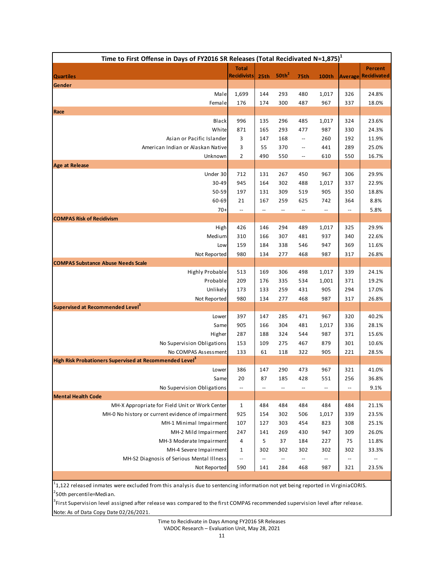| Time to First Offense in Days of FY2016 SR Releases (Total Recidivated N=1,875) <sup>1</sup> |                          |                          |                          |                          |                          |                          |                          |  |  |
|----------------------------------------------------------------------------------------------|--------------------------|--------------------------|--------------------------|--------------------------|--------------------------|--------------------------|--------------------------|--|--|
|                                                                                              | <b>Total</b>             |                          | 50th <sup>2</sup>        |                          |                          |                          | <b>Percent</b>           |  |  |
| <b>Quartiles</b><br>Gender                                                                   | <b>Recidivists</b>       | 25 <sup>th</sup>         |                          | 75th                     | <b>100th</b>             | <b>Average</b>           | Recidivated              |  |  |
| Male                                                                                         | 1,699                    | 144                      | 293                      | 480                      | 1,017                    | 326                      | 24.8%                    |  |  |
| Female                                                                                       | 176                      | 174                      | 300                      | 487                      | 967                      | 337                      | 18.0%                    |  |  |
| Race                                                                                         |                          |                          |                          |                          |                          |                          |                          |  |  |
| <b>Black</b>                                                                                 | 996                      | 135                      | 296                      | 485                      | 1,017                    | 324                      | 23.6%                    |  |  |
| White                                                                                        | 871                      | 165                      | 293                      | 477                      | 987                      | 330                      | 24.3%                    |  |  |
| Asian or Pacific Islander                                                                    | 3                        | 147                      | 168                      | $\overline{\phantom{a}}$ | 260                      | 192                      | 11.9%                    |  |  |
| American Indian or Alaskan Native                                                            | 3                        | 55                       | 370                      | $\overline{\phantom{a}}$ | 441                      | 289                      | 25.0%                    |  |  |
| Unknown                                                                                      | $\overline{2}$           | 490                      | 550                      | $\overline{\phantom{a}}$ | 610                      | 550                      | 16.7%                    |  |  |
| <b>Age at Release</b>                                                                        |                          |                          |                          |                          |                          |                          |                          |  |  |
| Under 30                                                                                     | 712                      | 131                      | 267                      | 450                      | 967                      | 306                      | 29.9%                    |  |  |
| 30-49                                                                                        | 945                      | 164                      | 302                      | 488                      | 1,017                    | 337                      | 22.9%                    |  |  |
| 50-59                                                                                        | 197                      | 131                      | 309                      | 519                      | 905                      | 350                      | 18.8%                    |  |  |
| 60-69                                                                                        | 21                       | 167                      | 259                      | 625                      | 742                      | 364                      | 8.8%                     |  |  |
| $70+$                                                                                        | $\overline{\phantom{a}}$ | $\overline{\phantom{a}}$ | $\overline{\phantom{a}}$ | $\overline{\phantom{a}}$ | --                       | $\overline{\phantom{a}}$ | 5.8%                     |  |  |
| <b>COMPAS Risk of Recidivism</b>                                                             |                          |                          |                          |                          |                          |                          |                          |  |  |
| High                                                                                         | 426                      | 146                      | 294                      | 489                      | 1,017<br>937             | 325                      | 29.9%<br>22.6%           |  |  |
| Medium<br>Low                                                                                | 310<br>159               | 166<br>184               | 307<br>338               | 481<br>546               | 947                      | 340<br>369               | 11.6%                    |  |  |
| Not Reported                                                                                 | 980                      | 134                      | 277                      | 468                      | 987                      | 317                      | 26.8%                    |  |  |
| <b>COMPAS Substance Abuse Needs Scale</b>                                                    |                          |                          |                          |                          |                          |                          |                          |  |  |
| Highly Probable                                                                              | 513                      | 169                      | 306                      | 498                      | 1,017                    | 339                      | 24.1%                    |  |  |
| Probable                                                                                     | 209                      | 176                      | 335                      | 534                      | 1,001                    | 371                      | 19.2%                    |  |  |
| Unlikely                                                                                     | 173                      | 133                      | 259                      | 431                      | 905                      | 294                      | 17.0%                    |  |  |
| Not Reported                                                                                 | 980                      | 134                      | 277                      | 468                      | 987                      | 317                      | 26.8%                    |  |  |
| Supervised at Recommended Level <sup>3</sup>                                                 |                          |                          |                          |                          |                          |                          |                          |  |  |
| Lower                                                                                        | 397                      | 147                      | 285                      | 471                      | 967                      | 320                      | 40.2%                    |  |  |
| Same                                                                                         | 905                      | 166                      | 304                      | 481                      | 1,017                    | 336                      | 28.1%                    |  |  |
| Higher                                                                                       | 287                      | 188                      | 324                      | 544                      | 987                      | 371                      | 15.6%                    |  |  |
| No Supervision Obligations                                                                   | 153                      | 109                      | 275                      | 467                      | 879                      | 301                      | 10.6%                    |  |  |
| No COMPAS Assessment                                                                         | 133                      | 61                       | 118                      | 322                      | 905                      | 221                      | 28.5%                    |  |  |
| High Risk Probationers Supervised at Recommended Level <sup>3</sup>                          |                          |                          |                          |                          |                          |                          |                          |  |  |
| Lower                                                                                        | 386                      | 147                      | 290                      | 473                      | 967                      | 321                      | 41.0%                    |  |  |
| Same                                                                                         | 20                       | 87                       | 185                      | 428                      | 551                      | 256                      | 36.8%                    |  |  |
| No Supervision Obligations<br><b>Mental Health Code</b>                                      | $\overline{\phantom{a}}$ |                          | --                       | --                       | $\overline{a}$           | $\overline{\phantom{a}}$ | 9.1%                     |  |  |
| MH-X Appropriate for Field Unit or Work Center                                               | 1                        | 484                      | 484                      | 484                      | 484                      | 484                      | 21.1%                    |  |  |
| MH-0 No history or current evidence of impairment                                            | 925                      | 154                      | 302                      | 506                      | 1,017                    | 339                      | 23.5%                    |  |  |
| MH-1 Minimal Impairment                                                                      | 107                      | 127                      | 303                      | 454                      | 823                      | 308                      | 25.1%                    |  |  |
| MH-2 Mild Impairment                                                                         | 247                      | 141                      | 269                      | 430                      | 947                      | 309                      | 26.0%                    |  |  |
| MH-3 Moderate Impairment                                                                     | 4                        | 5                        | 37                       | 184                      | 227                      | 75                       | 11.8%                    |  |  |
| MH-4 Severe Impairment                                                                       | 1                        | 302                      | 302                      | 302                      | 302                      | 302                      | 33.3%                    |  |  |
| MH-S2 Diagnosis of Serious Mental Illness                                                    | $\overline{\phantom{a}}$ | $\overline{\phantom{a}}$ | $\overline{\phantom{a}}$ | $\overline{\phantom{a}}$ | $\overline{\phantom{a}}$ | $\overline{\phantom{a}}$ | $\overline{\phantom{a}}$ |  |  |
| Not Reported                                                                                 | 590                      | 141                      | 284                      | 468                      | 987                      | 321                      | 23.5%                    |  |  |

<sup>2</sup>50th percentile=Median.  $1_{1,122}$  released inmates were excluded from this analysis due to sentencing information not yet being reported in VirginiaCORIS.

Note: As of Data Copy Date 02/26/2021. <sup>3</sup>First Supervision level assigned after release was compared to the first COMPAS recommended supervision level after release.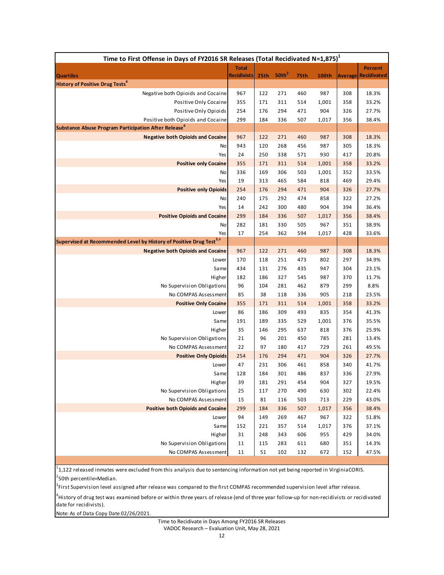| Time to First Offense in Days of FY2016 SR Releases (Total Recidivated N=1,875) <sup>1</sup>          |                    |                  |                   |            |              |            |                    |  |  |
|-------------------------------------------------------------------------------------------------------|--------------------|------------------|-------------------|------------|--------------|------------|--------------------|--|--|
|                                                                                                       | <b>Total</b>       |                  |                   |            |              |            | <b>Percent</b>     |  |  |
| <b>Quartiles</b>                                                                                      | <b>Recidivists</b> | 25 <sub>th</sub> | 50th <sup>2</sup> | 75th       | 100th        | Average    | <b>Recidivated</b> |  |  |
| <b>History of Positive Drug Tests<sup>4</sup></b>                                                     |                    |                  |                   |            |              |            |                    |  |  |
| Negative both Opioids and Cocaine                                                                     | 967                | 122              | 271               | 460        | 987          | 308        | 18.3%              |  |  |
| Positive Only Cocaine                                                                                 | 355                | 171              | 311               | 514        | 1,001        | 358        | 33.2%              |  |  |
| Positive Only Opioids                                                                                 | 254                | 176              | 294               | 471        | 904          | 326        | 27.7%              |  |  |
| Positive both Opioids and Cocaine<br>Substance Abuse Program Participation After Release <sup>4</sup> | 299                | 184              | 336               | 507        | 1,017        | 356        | 38.4%              |  |  |
| <b>Negative both Opioids and Cocaine</b>                                                              | 967                | 122              | 271               | 460        | 987          | 308        | 18.3%              |  |  |
| No                                                                                                    | 943                | 120              | 268               | 456        | 987          | 305        | 18.3%              |  |  |
| Yes                                                                                                   | 24                 | 250              | 338               | 571        | 930          | 417        | 20.8%              |  |  |
| <b>Positive only Cocaine</b>                                                                          | 355                | 171              | 311               | 514        | 1,001        | 358        | 33.2%              |  |  |
| No                                                                                                    | 336                | 169              | 306               | 503        | 1,001        | 352        | 33.5%              |  |  |
| Yes                                                                                                   | 19                 | 313              | 465               | 584        | 818          | 469        | 29.4%              |  |  |
| <b>Positive only Opioids</b>                                                                          | 254                | 176              | 294               | 471        | 904          | 326        | 27.7%              |  |  |
| No                                                                                                    | 240                | 175              | 292               | 474        | 858          | 322        | 27.2%              |  |  |
| Yes                                                                                                   | 14                 | 242              | 300               | 480        | 904          | 394        | 36.4%              |  |  |
| <b>Positive Opioids and Cocaine</b>                                                                   | 299                | 184              | 336               | 507        | 1,017        | 356        | 38.4%              |  |  |
| No                                                                                                    | 282                | 181              | 330               | 505        | 967          | 351        | 38.9%              |  |  |
| Yes                                                                                                   | 17                 | 254              | 362               | 594        | 1,017        | 428        | 33.6%              |  |  |
| Supervised at Recommended Level by History of Positive Drug Test <sup>3,4</sup>                       |                    |                  |                   |            |              |            |                    |  |  |
| <b>Negative both Opioids and Cocaine</b>                                                              | 967                | 122              | 271               | 460        | 987          | 308        | 18.3%              |  |  |
| Lower                                                                                                 | 170                | 118              | 251               | 473        | 802          | 297        | 34.9%              |  |  |
| Same                                                                                                  | 434                | 131              | 276               | 435        | 947          | 304        | 23.1%              |  |  |
| Higher                                                                                                | 182                | 186              | 327               | 545        | 987          | 370        | 11.7%              |  |  |
| No Supervision Obligations                                                                            | 96                 | 104              | 281               | 462        | 879          | 299        | 8.8%               |  |  |
| No COMPAS Assessment                                                                                  | 85                 | 38               | 118               | 336        | 905          | 218        | 23.5%              |  |  |
| <b>Positive Only Cocaine</b>                                                                          | 355                | 171              | 311               | 514        | 1,001        | 358        | 33.2%              |  |  |
| Lower                                                                                                 | 86                 | 186              | 309               | 493        | 835          | 354        | 41.3%              |  |  |
| Same                                                                                                  | 191                | 189              | 335               | 529        | 1,001        | 376        | 35.5%              |  |  |
| Higher                                                                                                | 35                 | 146              | 295               | 637        | 818          | 376        | 25.9%              |  |  |
| No Supervision Obligations                                                                            | 21                 | 96               | 201               | 450        | 785          | 281        | 13.4%              |  |  |
| No COMPAS Assessment                                                                                  | 22                 | 97               | 180               | 417        | 729          | 261        | 49.5%              |  |  |
| <b>Positive Only Opioids</b>                                                                          | 254                | 176              | 294               | 471        | 904          | 326        | 27.7%              |  |  |
| Lower                                                                                                 | 47                 | 231              | 306               | 461        | 858          | 340        | 41.7%              |  |  |
| Same                                                                                                  | 128                | 184              | 301               | 486        | 837          | 336        | 27.9%              |  |  |
| Higher                                                                                                | 39                 | 181              | 291               | 454        | 904          | 327        | 19.5%              |  |  |
| No Supervision Obligations                                                                            | 25                 | 117              | 270               | 490        | 630          | 302        | 22.4%              |  |  |
| No COMPAS Assessment                                                                                  | 15                 | 81               | 116               | 503        | 713          | 229        | 43.0%              |  |  |
| <b>Positive both Opioids and Cocaine</b>                                                              | 299                | 184              | 336               | 507        | 1,017        | 356        | 38.4%              |  |  |
| Lower                                                                                                 | 94                 | 149              | 269               | 467        | 967          | 322        | 51.8%              |  |  |
| Same                                                                                                  | 152                | 221              | 357<br>343        | 514        | 1,017<br>955 | 376        | 37.1%              |  |  |
| Higher<br>No Supervision Obligations                                                                  | 31                 | 248<br>115       | 283               | 606<br>611 | 680          | 429<br>351 | 34.0%<br>14.3%     |  |  |
| No COMPAS Assessment                                                                                  | 11<br>11           | 51               | 102               | 132        | 672          | 152        | 47.5%              |  |  |
|                                                                                                       |                    |                  |                   |            |              |            |                    |  |  |

<sup>2</sup>50th percentile=Median. 1 1,122 released inmates were excluded from this analysis due to sentencing information not yet being reported in VirginiaCORIS.

<sup>3</sup>First Supervision level assigned after release was compared to the first COMPAS recommended supervision level after release.

4 History of drug test was examined before or within three years of release (end of three year follow‐up for non‐recidivists or recidivated date for recidivists).

Note: As of Data Copy Date 02/26/2021.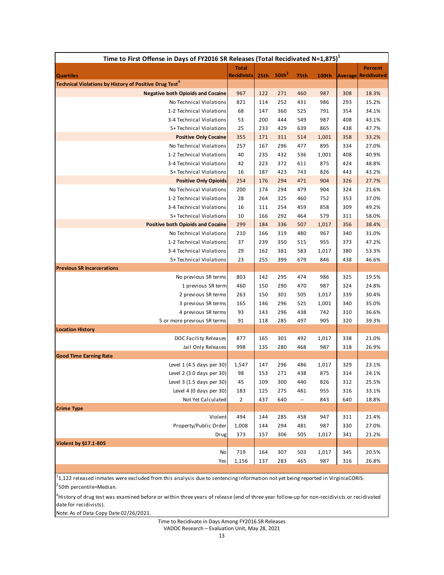| Time to First Offense in Days of FY2016 SR Releases (Total Recidivated N=1,875) <sup>1</sup> |                    |                  |                   |                          |            |                |                    |  |  |
|----------------------------------------------------------------------------------------------|--------------------|------------------|-------------------|--------------------------|------------|----------------|--------------------|--|--|
|                                                                                              | <b>Total</b>       |                  |                   |                          |            |                | <b>Percent</b>     |  |  |
| <b>Quartiles</b><br>Technical Violations by History of Positive Drug Test <sup>4</sup>       | <b>Recidivists</b> | 25 <sub>th</sub> | 50th <sup>2</sup> | 75th                     | 100th      | <b>Average</b> | <b>Recidivated</b> |  |  |
| <b>Negative both Opioids and Cocaine</b>                                                     | 967                | 122              | 271               | 460                      | 987        | 308            | 18.3%              |  |  |
| No Technical Violations                                                                      | 821                | 114              | 252               | 431                      | 986        | 293            | 15.2%              |  |  |
| 1-2 Technical Violations                                                                     | 68                 | 147              | 360               | 525                      | 791        | 354            | 34.1%              |  |  |
| 3-4 Technical Violations                                                                     | 53                 | 200              | 444               | 549                      | 987        | 408            | 43.1%              |  |  |
| 5+ Technical Violations                                                                      | 25                 | 233              | 429               | 639                      | 865        | 438            | 47.7%              |  |  |
| <b>Positive Only Cocaine</b>                                                                 | 355                | 171              | 311               | 514                      | 1,001      | 358            | 33.2%              |  |  |
| No Technical Violations                                                                      | 257                | 167              | 296               | 477                      | 895        | 334            | 27.0%              |  |  |
| 1-2 Technical Violations                                                                     | 40                 | 235              | 432               | 536                      | 1,001      | 408            | 40.9%              |  |  |
| 3-4 Technical Violations                                                                     | 42                 | 223              | 372               | 611                      | 875        | 424            | 48.8%              |  |  |
| 5+ Technical Violations                                                                      | 16                 | 187              | 423               | 743                      | 826        | 443            | 43.2%              |  |  |
| <b>Positive Only Opioids</b>                                                                 | 254                | 176              | 294               | 471                      | 904        | 326            | 27.7%              |  |  |
| No Technical Violations                                                                      | 200                | 174              | 294               | 479                      | 904        | 324            | 21.6%              |  |  |
| 1-2 Technical Violations                                                                     | 28                 | 264              | 325<br>254        | 460<br>459               | 752<br>858 | 353<br>309     | 37.0%<br>49.2%     |  |  |
| 3-4 Technical Violations<br>5+ Technical Violations                                          | 16<br>10           | 111<br>166       | 292               | 464                      | 579        | 311            | 58.0%              |  |  |
| <b>Positive both Opioids and Cocaine</b>                                                     | 299                | 184              | 336               | 507                      | 1,017      | 356            | 38.4%              |  |  |
| No Technical Violations                                                                      | 210                | 166              | 319               | 480                      | 967        | 340            | 31.0%              |  |  |
| 1-2 Technical Violations                                                                     | 37                 | 239              | 350               | 515                      | 955        | 373            | 47.2%              |  |  |
| 3-4 Technical Violations                                                                     | 29                 | 162              | 381               | 583                      | 1,017      | 380            | 53.3%              |  |  |
| 5+ Technical Violations                                                                      | 23                 | 255              | 399               | 679                      | 846        | 438            | 46.6%              |  |  |
| <b>Previous SR Incarcerations</b>                                                            |                    |                  |                   |                          |            |                |                    |  |  |
| No previous SR terms                                                                         | 803                | 142              | 295               | 474                      | 986        | 325            | 19.5%              |  |  |
| 1 previous SR term                                                                           | 460                | 150              | 290               | 470                      | 987        | 324            | 24.8%              |  |  |
| 2 previous SR terms                                                                          | 263                | 150              | 301               | 505                      | 1,017      | 339            | 30.4%              |  |  |
| 3 previous SR terms                                                                          | 165                | 146              | 296               | 525                      | 1,001      | 340            | 35.0%              |  |  |
| 4 previous SR terms                                                                          | 93                 | 143              | 296               | 438                      | 742        | 310            | 36.6%              |  |  |
| 5 or more previous SR terms<br><b>Location History</b>                                       | 91                 | 118              | 285               | 497                      | 905        | 320            | 39.3%              |  |  |
| DOC Facility Releases                                                                        | 877                | 165              | 301               | 492                      | 1,017      | 338            | 21.0%              |  |  |
| Jail Only Releases                                                                           | 998                | 135              | 280               | 468                      | 987        | 318            | 26.9%              |  |  |
| <b>Good Time Earning Rate</b>                                                                |                    |                  |                   |                          |            |                |                    |  |  |
| Level 1 (4.5 days per 30)                                                                    | 1,547              | 147              | 296               | 486                      | 1,017      | 329            | 23.1%              |  |  |
| Level 2 (3.0 days per 30)                                                                    | 98                 | 153              | 271               | 438                      | 875        | 314            | 24.1%              |  |  |
| Level 3 (1.5 days per 30)                                                                    | 45                 | 109              | 300               | 440                      | 826        | 312            | 25.5%              |  |  |
| Level 4 (0 days per 30)                                                                      | 183                | 125              | 275               | 481                      | 955        | 316            | 33.1%              |  |  |
| Not Yet Calculated                                                                           | $\overline{2}$     | 437              | 640               | $\overline{\phantom{a}}$ | 843        | 640            | 18.8%              |  |  |
| <b>Crime Type</b>                                                                            |                    |                  |                   |                          |            |                |                    |  |  |
| Violent                                                                                      | 494                | 144              | 285               | 458                      | 947        | 311            | 21.4%              |  |  |
| Property/Public Order                                                                        | 1,008              | 144              | 294               | 481                      | 987        | 330            | 27.0%              |  |  |
| Drug                                                                                         | 373                | 157              | 306               | 505                      | 1,017      | 341            | 21.2%              |  |  |
| Violent by §17.1-805<br>No                                                                   | 719                | 164              | 307               | 503                      | 1,017      | 345            | 20.5%              |  |  |
| Yes                                                                                          | 1,156              | 137              | 283               | 465                      | 987        | 316            | 26.8%              |  |  |
|                                                                                              |                    |                  |                   |                          |            |                |                    |  |  |

<sup>2</sup>50th percentile=Median. 1 1,122 released inmates were excluded from this analysis due to sentencing information not yet being reported in VirginiaCORIS.

4 History of drug test was examined before or within three years of release (end of three year follow‐up for non‐recidivists or recidivated date for recidivists).

Note: As of Data Copy Date 02/26/2021.